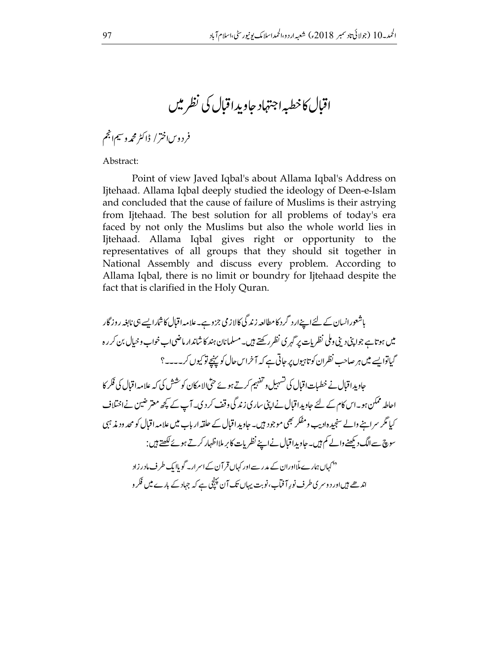اقبال كاخطبه اجتهاد حاويد اقبال كي نظر ميں

فردوساخترا إاكثر محمه وسيمانجم

Abstract:

Point of view Javed Iqbal's about Allama Iqbal's Address on Ijtehaad. Allama Iqbal deeply studied the ideology of Deen-e-Islam and concluded that the cause of failure of Muslims is their astrying from Ijtehaad. The best solution for all problems of today's era faced by not only the Muslims but also the whole world lies in Ijtehaad. Allama Iqbal gives right or opportunity to the representatives of all groups that they should sit together in National Assembly and discuss every problem. According to Allama Iqbal, there is no limit or boundry for Ijtehaad despite the fact that is clarified in the Holy Quran.

باشعورانسان کے لئےاپنےار د گرد کامطالعہ زند گی کالاز می جزوہے۔علامہ اقبال کاشارایسے ہی نابغہ روز گار میں ہو تاہے جواپنی دینی وملی نظر بات پر گہر ی نظر رکھتے ہیں۔مسلمانان ہند کا شاندار ماضی اب خواب و حیال بن کر رہ گیاتوا پسے میں ہر صاحب نظران کو تاہیوں پر جاتی ہے کہ آ خراس حال کو پہنچے تو کیوں کر۔۔۔۔؟ حاویداقبال نے خطیات اقبال کی تسہیل و تفہیم کرتے ہوئے حتّیالا مکان کوشش کی کہ علامہ اقبال کی فکر کا احاطہ ممکن ہو۔اس کام کے لئے جاویداقبال نےاپنی ساری زند گی وقف کر دی۔آپ کے کچھ معتر ضین نے اختلاف کیا مگر سراہنے والے سنجید ہادیب ومفکر بھی موجود ہیں۔ جاوید اقبال کے حلقہ ار باب میں علامہ اقبال کو محد ودیذ ہی سوچ سے الگ دیکھنے والے کم ہیں۔ جاویدا قبال نے اپنے نظریات کا بر ملااظہار کرتے ہوئے لکھتے ہیں : ۔<br>''کہاں ہمارے ملااوران کے مدر سےاور کہاں قمر آن کے اسمرار کے موباایک طرف مادر زاد اندھے ہیںاور دوسر کی طرف نور آ فمآ۔،نوبت یہاں تک آن پہنچی ہے کہ جہاد کے بارے میں فَکر و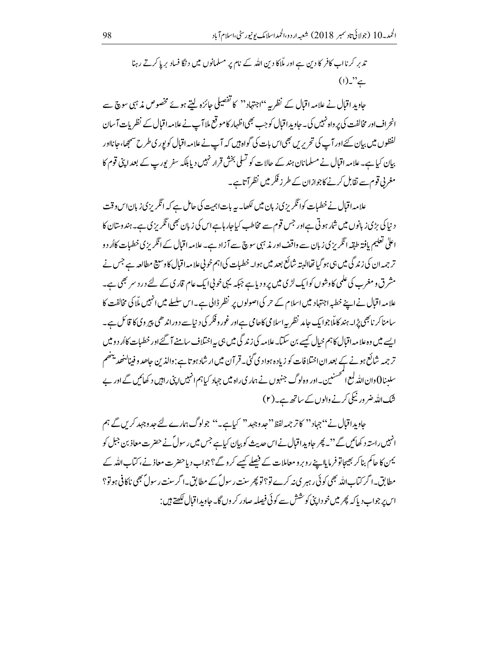تد بر کرنااب کافر کا دین ہے اور ملّاکا دین اللّٰہ کے نام پر مسلمانوں میں د نگا فساد بر پا کرتے رہنا  $(1)$ ."

حاوید اقبال نے علامہ اقبال کے نظریہ ''اجتہاد'' کا تفصیلی جائزہ لیتے ہوئے مخصوص مذہبی سوچ سے انحراف اور مخالفت کی پر واہ نہیں کی۔ جاوید اقبال کو جب بھی اظہار کامو قع ملاآپ نے علامہ اقبال کے نظریات آ سان لفظوں میں بیان کئے اور آپ کی تحریریں بھی اس بات کی گواہ ہیں کہ آپ نے علامہ اقبال کو پور ی طرح سمجھا، جانااور بیان کیا ہے۔ علامہ اقبال نے مسلمانان ہند کے حالات کو تسلی بخش قرار نہیں دیا بلکہ سفر پورپ کے بعد اپنی قوم کا مغربی قوم سے تقابل کرنے کاجوازان کے طرز فکر میں نظر آتاہے۔

علامہ اقبال نے خطیات کوائگریز کی زبان میں لکھا۔ یہ بات اہمیت کی حامل ہے کہ انگریز کی زبان اس وقت د نپا کې بڑی زبانوں میں شار ہوتی ہے اور جس قوم سے مخاطب کیاجار ہاہے اس کی زبان بھی انگریزی ہے۔ہند وسان کا اعلٰی تعلیم یافتہ طبقہ انگریزی زبان سے واقف اور مذہبی سوچ سے آزاد ہے۔علامہ اقبال کے انگریزی خطبات کااُر دو تر جمہ ان کی زند گی میں ہی ہو گیا تھاالیتہ شائع بعد میں ہوا۔خطیات کی اہم خوبی علامہ اقبال کاوسیع مطالعہ ہے جس نے مشرق و مغرب کی علمی کاوشوں کوایک لڑی میں پرودیاہے جبکہ یہی خونی ایک عام قاری کے لئے در د سر بھی ہے۔ علامہ اقبال نے اپنے خطبہ اجتہاد میں اسلام کے حر کی اصولوں پر نظر ڈالی ہے۔اس سلسلے میں انہیں ملا کی مخالفت کا سامناکر نا بھی پڑا۔ہند کاملّاجوا یک جامد نظر بیہ اسلامی کاحامی ہےاور غور و فکر کی دیا ہے د وراندھی پیر وی کا قائل ہے۔ ایسے میں وہ علامہ اقبال کا ہم خیال کیسے بن سکتا۔علامہ کی زند گی میں ہی پہ اختلاف سامنے آ گئے اور خطبات کاأر د و میں تر جمہ شائع ہونے کے بعد ان اختلافات کو زیادہ ہواد کی گئی۔ قرآن میں ار شاد ہو تاہے : دالذین حاصد و فینالنھد یہنھم سلىنا 0 دان الله لمع المحسنيين \_اور وەلوگ جنہوں نے ہمار ي راہ ميں جہاد كيا ہم انہيں اپنى راہيں د كھائيں گے اور بے شک اللہ ضر ور نیکی کرنے والوں کے ساتھ ہے۔(۲)

جاویداقبال نے ''جہاد'' کاتر جمہ لفظ''جد وجہد'' کیاہے۔'' جولوگ ہمارے لئے جد وجہد کریں گے ہم انہیں راستہ د کھائیں گے ''۔ پھر جاویداقبال نےاس حدیث کو بیان کیاہے جس میں رسول ؑ نے حضرت معاذ بن جبل کو یمن کا حاکم بناکر بھیجاتوفرمایااپنے روبرومعاملات کے فیصلے کیسے کروگے؟جواب دیاحضرت معاذ نے، کتاب اللہ کے مطابق۔ا گر کتاب اللہ بھی کوئی رہبر ی نہ کرے تو؟ تو پھر سنت رسول ٗ کے مطابق۔ا گرسنت رسولؐ بھی ناکافی ہو تو؟ اس پر جواب دیا کہ پھر میں خو داپنی کو شش سے کوئی فیصلہ صادر کر وں گا۔حاویداقبال لکھتے ہیں :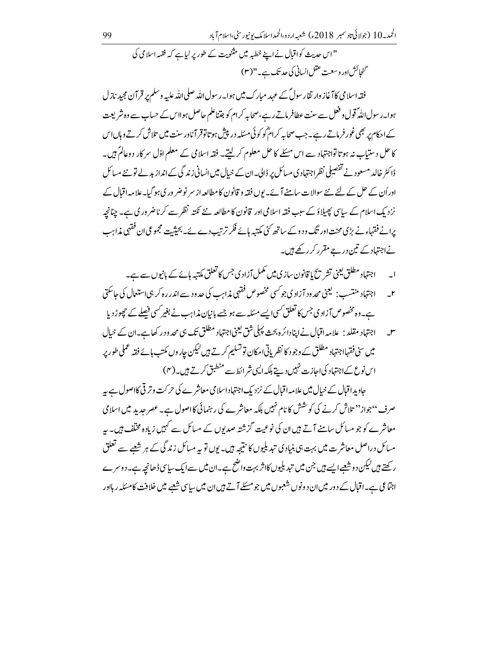'' اس حدیث کواقبال نے اپنے خطبہ میں مثنویت کے طور پر لیاہے کہ فقہہ اسلامی کی گنجائش اور وسعت عقل انسانی کی حد تک ہے۔"(۳)

فقہ اسلامی کا آغاز وار تقار سول ؒ کے عہد مبارک میں ہوا۔ رسول اللہ صلی اللہ علیہ وسلم پر قر آن مجید نازل ہوا۔رسول اللّٰہ ً قول و فعل سے سنت عطافر ماتے رہے،صحابہ کرام کو جتناعلم حاصل ہوااس کے حساب سے وہ شریعت کے احکام پر بھی غور فرماتے رہے۔جب صحابہ کرام ؓ کو کوئی مسئلہ در پیش ہو تاتوقر آناور سنت میں تلاش کرتے وہاں اس کا حل دستیاب نہ ہوتا تواجتہاد سے اس مسئلے کا حل معلوم کر لیتے۔ فقہ اسلامی کے معلم اوّل سر کار دوعالمؐ ہیں۔ ڈاکٹر خالد مسعود نے تفصیلی نظراجتہادی مسائل پر ڈالی۔ان کے حیال میں انسانی زندگی کے انداز پد لے تو نئے مسائل اوراُن کے حل کے لئے نئے سوالات سامنے آئے۔یوں فقہ و قانون کامطالعہ از سر نوضر وری ہو گیا۔علامہ اقبال کے نزد یک اسلام کے ساتک پھیلاؤ کے سبب فقہ اسلامی اور قانون کا مطالعہ نئے نکتہ نظر سے کرناضر ور کی ہے۔ چنانچہ برانے فقہاءنے پڑی محنت اور تگ ودوکے ساتھ کئی مکتبہ ہائے فکر ترتب دے ئے۔ بحیثیت مجموعی ان فقہی مذاہب نےاجتہاد کے تین درجے مقرر کرر کھے ہیں۔

- ۔ اجتہاد مطلق یعنی تشر یح یا قانون سازی میں مکمل آزاد ی جس کا تعلق مکتبہ ہائے کے بانپوں سے ہے۔  $\overline{a}$
- ۲\_ \_ اجتہاد منتسب: لیمنی محد ود آزادی جو <sup>کس</sup>ی مخصوص فقہی مذاہب کی حد ود سے اندر رہ کر ہی استعمال کی حاسکتی ہے۔وہ مخصوص آزادی جس کا تعلق کسی ایسے مسکلہ سے ہو جسے بانیان مذاہب نے بغیر کسی فیصلے کے حچھوڑ دیا
- س ہے۔ اجتہاد مقلد : علامہ اقبال نےا پنادائرہ بحث پہلی شق یعنی اجتہاد مطلق تک ہی محد ود رکھا ہے۔ان کے حیال میں سی فقہااجتہاد مطلق کے وجود کا نظریاتی امکان تو تسلیم کرتے ہیں لیکن جاروں مکتب ہائے فقہ عملی طور پر اس نوع کے اجتہاد کی اجازت نہیں دیتے بلکہ ایک شر انطے منطبق کرتے ہیں۔(۴)

جاویداقبال کے خیال میں علامہ اقبال کے نزد یک اجتہاد اسلامی معاشر ے کی حرکت وتر قی کااصول ہے ہہ صرف ''جواز'' تلاش کرنے کی کوشش کا نام نہیں بلکہ معاشرے کی رہنمائی کااصول ہے۔ عصر حدید میں اسلامی معاشرے کو جو مسائل سامنے آتے ہیں ان کی نوعیت گزشتہ صدیوں کے مسائل سے کہیں زیادہ مخلف ہیں۔ بہر مسائل دراصل معاشر ت میں بہت ہی بنیادی تیدیلیوں کا نتیجہ ہیں۔ یوں تو یہ مسائل زند گی کے ہر شعبے سے تعلق ر کھتے ہیں لیکن دوشعبے ایسے ہیں جن میں تبدیلیوں کااثر بہت واضح ہے۔ان میں سے ایک ساسی ڈھانچہ ہے۔دوسرے اجتماعی ہے۔اقبال کے دور میں ان دونوں شعبوں میں جو مسئلے آتے ہیں ان میں سایپ شعبے میں خلافت کامسکہ ر ہااور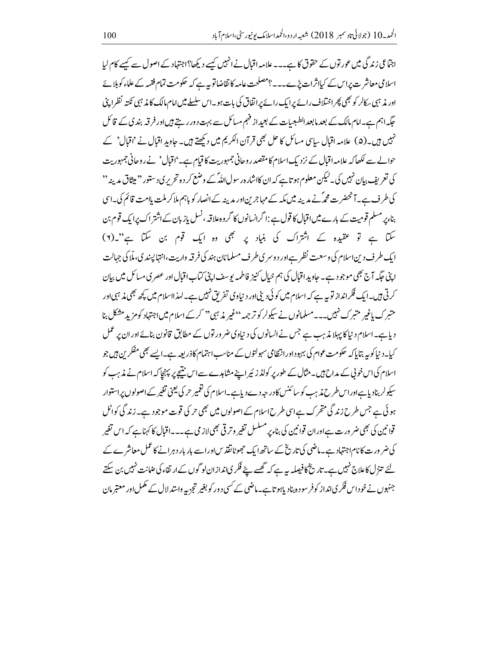اجتماعی زندگی میں عور توں کے حقوق کا ہے۔۔۔ علامہ اقبال نے انہیں کیسے دیکھا؟اجتہاد کے اصول سے کیسے کام لیا اسلامی معاشر ت پراس کے کیااثرات پڑے۔۔۔؟مصلحت عامہ کا تقاضاتو بیہ ہے کہ حکومت تمام فقہہ کے علماء کو بلائے اور مذہبی سکالر کو بھی پھر اختلاف رائے پرایک رائے پر اتفاق کی بات ہو۔اس سلسلے میں امام مالک کا مذہبی نکتہ نظرا پنی حگیہ اہم ہے۔امام مالک کے بعد مابعد الطبعیات کے بعیداز فہم مسائل سے بہت دور رہتے ہیں اور فرقہ بند پ کے قائل نہیں ہیں۔(۵) علامہ اقبال سابپی مسائل کا حل بھی قرآن الکریم میں دیکھتے ہیں۔ جاوید اقبال نے 'اقبال' کے حوالے سے لکھاکہ علامہ اقبال کے نزد یک اسلام کا مقصد روحانی جمہوریت کا قیام ہے۔'اقبال' نے روحانی جمہوریت کی تعریف بیان نہیں کی۔لیکن معلوم ہو تاہے کہ ان کااشارہ رسول اللہؓ کے وضع کر دہ تحریر کی دستور'' میثاق مدینہ'' کی طرف ہے۔آنحضرت محمہؓ نے مدینہ میں مکہ کے مہاجرین اور مدینہ کے انصار کو ہاہم ملاکر ملت پاامت قائم کی۔اسی بناءپر مسلم قومیت کے بارے میں اقبال کا قول ہے :اگرانسانوں کا گروہ علاقہ ، نسل پاز بان کے اشتر اک پرایک قوم بن سکتا ہے تو عقیدہ کے اشتراک کی بنیاد پر بھی وہ ایک قوم بن سکتا ہے"۔(۲) ایک طرف دین اسلام کی وسعت نظر ہےاور دوسر ی طرف مسلمانان ہند کی فرقہ واریت،انتہا پیند کی، ملّا کی جہالت اپنی جگه آج بھی موجود ہے۔ جاوید اقبال کی ہم خیال کنیز فاطمہ پوسف اپنی کتاب اقبال اور عصر کی مسائل میں بیان کرتی ہیں۔ایک فکرانداز تو بیہ ہے کہ اسلام میں کوئی دینی اور دنیاوی تفریق نہیں ہے۔امدااسلام میں کچھ بھی مذہبی اور متبرک پاغیر متبرک نہیں۔۔۔مسلمانوں نے سیکولر کو تر جمہ<sup>،،</sup>غیر بذہبی'' کرکے اسلام میں اجتہاد کومزید مشکل بنا د پاہے۔اسلام د نیاکا پہلا مذہب ہے جس نے انسانوں کی د نیاوی ضر ور توں کے مطابق قانون بنائے اور ان پر عمل کیا۔د نیاکو یہ بتایاکہ حکومت عوام کی بہبوداورانتظامی سہولتوں کے مناسب اہتمام کاذر بعہ ہے۔ایسے بھی مفکرین ہیں جو اسلام کی اس خونی کے مداح ہیں۔مثال کے طور پر کولڈ زئیر اپنے مشاہدے سے اس نتیجے پر پہنچاکہ اسلام نے مذہب کو سیکولر بنادیاہےاوراس طرح مذہب کو سائنس کادر حبہ دے دیاہے۔اسلام کی نغمیر حر کی یعنی تغیر کے اصولوں پراستوار ہوئی ہے جس طرح زندگی متحرک ہےاسی طرح اسلام کے اصولوں میں بھی حر کی قوت موجود ہے۔ زندگی کواٹل قوانین کی بھی ضر ورت ہے اور ان قوانین کی بناء پر مسلسل تغیر و تر قی بھی لاز می ہے۔۔۔اقبال کا کہناہے کہ اس تغیر کی ضر ور ت کا نام اجتہاد ہے۔ماضی کی تاریخ کے ساتھ ایک حجھوٹانقذیںاوراسے بار بار دہرانے کا عمل معاشر ے کے لئے تنزل کاعلاج نہیں ہے۔تاریخ کا فیصلہ ریہ ہے کہ تھسے پیٹے فکر یاندازان لو گوں کے ارتقاء کی عنانت نہیں بن سکتے جنہوں نے خو داس فکر یانداز کوفر سودہ بناد پاہوتا ہے۔ماضی کے کسی دور کو بغیر تجزیہ واستدلال کے مکمل اور معتبر مان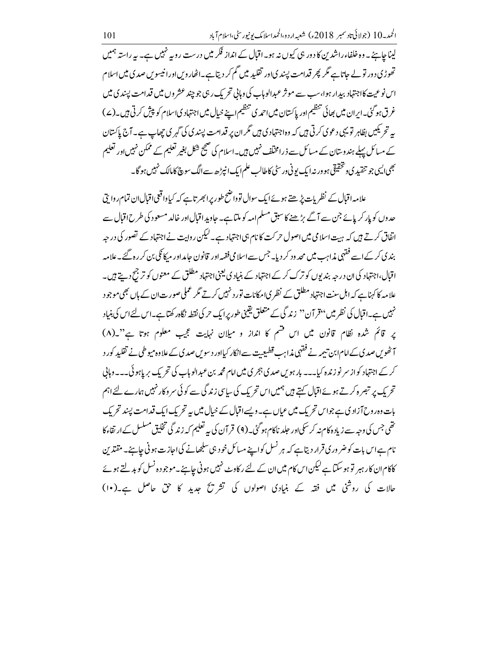لیناچاہئے ۔ وہ خلفاء راشدین کا دور ہی کیوں نہ ہو۔اقبال کے انداز فکر میں درست روپہ نہیں ہے۔ یہ راستہ ہمیں تھوڑی دور تو لے جاتا ہے گر پھر قدامت پسندیاور تقلید میں گم کر دیتا ہے۔اٹھاروساورانیسوس صدی میں اسلام اس نوعیت کااجتہاد بیدار ہوا،سب سے موثر عبدالوہاب کی وہائی تحریک رہی جو چند عشر وں میں قدامت پسند ی میں غرق ہوگئی۔ایران میں بھائی تنظیم اور پاکستان میں احمہ کی تنظیم اپنے خیال میں اجتہاد کی اسلام کو پیش کرتی ہیں۔(ے) یہ تحر یکیں بظاہر تو یہی دعوی کرتی ہیں کہ وہ اجتہادی ہیں مگر ان پر قدامت پسندی کی گہری چھاپ ہے۔آج پاکستان کے مسائل پہلے ہند وستان کے مسائل سے ذرامخلّف نہیں ہیں۔اسلام کی صحیح شکل بغیر تعلیم کے ممکن نہیںاور تعلیم بھی <sub>ا</sub>یسی جو تنقیدی و تحقیقی ہو ور نہ ایک یونی ور سٹی کاطالب علم ایک انپڑھ سے الگ سوچج کامالک نہیں ہو گا۔

علامہ اقبال کے نظریات پڑھتے ہوئےایک سوال توواضح طور پرائجیر تاہے کہ کیاوا قعی اقبال ان تمام روا پتی حدوں کو پار کر پائے جن سے آگے بڑھنے کا سبق مسلم امہ کو ملتا ہے۔ جاوید اقبال اور خالد مسعود کی طرح اقبال سے انفاق کرتے ہیں کہ ہیت اسلامی میں اصول حرکت کا نام ہی اجتہاد ہے۔لیکن روایت نے اجتہاد کے تصور کی درجہ بند کی کرکے اسے فقہی مذاہب میں محد ود کر دیا۔ جس سے اسلامی فقہہ اور قانون حامد اور مرکا نگی بن کر رہ گئے۔علامہ اقبال،اجتہاد کی ان درجہ بندیوں کو ترک کر کے اجتہاد کے بنیاد کی یعنی اجتہاد مطلق کے معنوں کو ترجح دیتے ہیں۔ علامہ کا کہناہے کہ اہل سنت اجتہاد مطلق کے نظر پی امکانات تور د نہیں کرتے مگر عملی صور ت ان کے ہاں بھی موجود نہیں ہے۔اقبال کی نظر میں ''قرآن'' زندگی کے متعلق یقینی طور پرایک حر کی نقطہ نگاہ رکھتا ہے۔اس لئےاس کی بنیاد یر قائم شده نظام قانون میں اس قسم کا انداز و میلان نہایت عجیب معلوم ہوتا ہے"۔(٨) آ ٹھویں صدی کے امام ابن تبیمہ نے فقہی مذاہب قطبیتیت ہےانکار کیااور دسویں صدی کے علاوہ میوطی نے تقلید کور د کر کے اجتہاد کواز سر نو زندہ کیا۔۔۔ بار ہویں صدی ہجری میں امام محمہ بن عبدالوہاب کی تحریک بریاہوئی۔۔۔وہائی تحریک پر تبصرہ کرتے ہوئےاقبال کہتے ہیں ہمیں اس تحریک کی سیاسی زند گی سے کوئی سر وکار نہیں ہمارے لئے اہم بات دہ روح آزاد ی ہے جواس تحریک میں عیاں ہے۔ویسے اقبال کے خیال میں یہ تحریک ایک قدامت پسند تحریک تھی جس کی وجہ سے زیادہ کام نہ کر سکیاور حلد ناکام ہوگئی۔(۹) قر آن کی بہ تعلیم کہ زند گی تخلیق مسلسل کے ارتقاء کا نام ہےاس بات کو ضر وری قرار دیتاہے کہ ہر نسل کواپنے مسائل خود ہی سلجھانے کی اجازت ہو ٹی جاہئے۔ مقتدین کاکام ان کار ہبر تو ہو سکتا ہے لیکن اس کام میں ان کے لئے رکاوٹ نہیں ہونی چاہئے۔موجودہ نسل کو بدلتے ہوئے حالات کی روشی میں فقہ کے بنیادی اصولوں کی تشریح جدید کا حق حاصل ہے۔(١٠)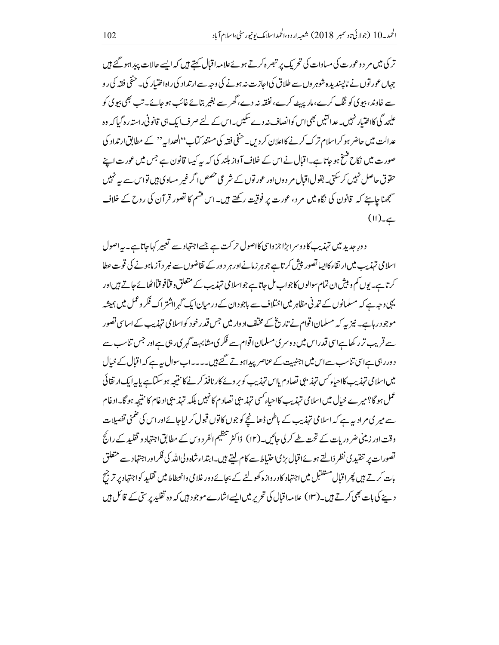تر کی میں مر دوعورت کی مساوات کی تحریک پر تبصر ہ کرتے ہوئےعلامہ اقبال کہتے ہیں کہ ایسے حالات پیداہو گئے ہیں جہاں عور توں نے ناپسندیدہ شوہر وں سے طلاق کیااجازت نیہ ہونے کی وجہ سےار تداد کی راہ اختیار کی۔ حنفی فقہ کی رو سے خاوند، بیوی کو ننگ کرے، مار پہ ے کرے، نفقہ نہ دے، گھر سے بغیر بتائے غائب ہو جائے۔ تب بھی بیوی کو علیحد گی کااختیار نہیں۔عدالتیں بھی <sub>اس</sub> کوانصاف نہ دے سکیں۔اس کے لئے صرف ایک ہی قانونی راستہ رہ گیا کہ وہ عدالت میں حاضر ہو کراسلام ترک کرنے کااعلان کر دیں۔ حنفی فقہ کی مستند کتاب''الھدابہ'' کے مطابق ارتداد کی صورت میں نکاح فسخ ہو جاتا ہے۔اقبال نے اس کے خلاف آواز بلند کی کہ یہ کیسا قانون ہے جس میں عورت اپنے حقوق حاصل نہیں کرسکتی۔بقول اقبال مر دوں اور عور توں کے شرعی حصص اگر غیر مساوی ہیں تواس سے یہ نہیں سمجھنا جاہئے کہ قانون کی نگاہ میں مر د، عورت پر فوقیت رکھتے ہیں۔ اس قسم کا تصور قرآن کی روح کے خلاف  $(11)$ ے۔

دورِ حدید میں تہذیب کاد وسرا بڑا جزواسی کااصول حرکت ہے جسے اجتہاد سے تعبیر کہاجاتاہے۔ یہ اصول اسلامی تہذیب میں ارتقاء کااپیاتصور پیش کرتاہے جوہر زمانےاور ہر دور کے تقاضوں سے نیر د آزماہونے کی قوت عطا کرتاہے۔یوں کم و بیش ان تمام سوالوں کا جواب مل جاتاہے جواسلا می تہذیب کے متعلق و قیافو قیااٹھائے جاتے ہیں اور یہی دجہ ہے کہ مسلمانوں کے تمدنی مظاہر میں اختلاف سے باجو دان کے در میان ایک گہر ااشتر اک فکر وعمل میں ہمیشہ موجود رہاہے۔ نیز یہ کہ مسلمان اقوام نے تاریخ کے مخلف اد وار میں جس قدر خود کواسلامی تہذیب کے اساسی تصور سے قریب تر رکھاہےاسی قدر اس میں دوسری مسلمان اقوام سے فکر ی مشابہت گہری رہی ہے اور جس تناسب سے دور رہی ہےاسی تناسب سے اس میں اجنبیت کے عناصر پیداہوتے گئے ہیں۔۔۔۔اب سوال بہ ہے کہ اقبال کے خیال میں اسلامی تہذیب کااحیاء کس تہذیبی تصادم پاس تہذیب کو بر وئے کار نافذ کرنے کا نتیجہ ہو سکتاہے پایہ ایک ارتقائی عمل ہو گا؟ میر ے خیال میں اسلامی تہذیب کااحیاء *کسی تہذی*بی نصاد م کانہیں بلکہ تہذیبی ادغام کا نتیجہ ہو گا۔ادغام سے میر کی مرادیہ ہے کہ اسلامی تہذیب کے باطن ڈھانچے کو جوں کا توں قبول کر لیاجائے اور اس کی ضمنی تفصیلات وقت اور زینی ضر وریات کے تحت طے کر لی جائیں۔(١٢) ڈاکٹر تنظیم الفر دوس کے مطابق اجتہاد و تقلید کے رائج تصورات پر تنقید کی نظر ڈالتے ہوئےاقبال بڑیاحتیاط سے کام لیتے ہیں۔ابتداءشاہ ولیاللہ کی فکر اور اجتہاد سے متعلق بات کرتے ہیں پھر اقبال مستقبل میں اجتہاد کا در واز ہ کھولنے کے بجائے دور غلا می وانحطاط میں تقلید کواجتہاد پر ترجح دینے کی بات بھی کرتے ہیں۔(۱۳) علامہ اقبال کی تحریر میں ایسے اشارے موجود ہیں کہ وہ تقلید پر سی کے قائل ہیں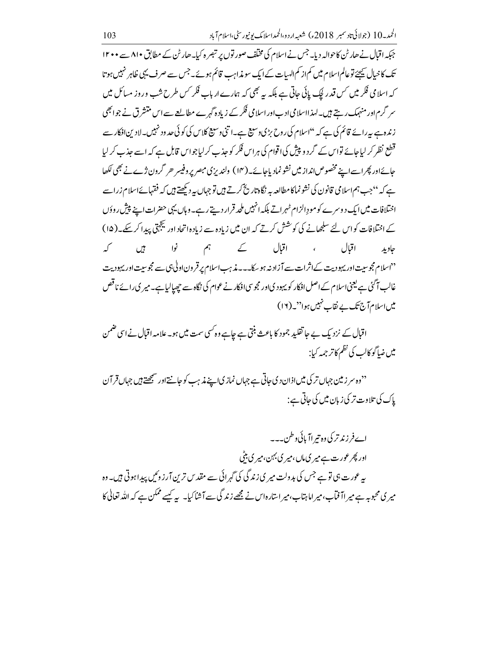جبکہ اقبال نے ھارٹن کاحوالہ دیا۔ جس نے اسلام کی مخلف صور توں پر تبصر ہ کیا۔ ھارٹن کے مطابق ۸۱۰ سے ۱۲۰۰ تک کاخیال بیجئے توعالم اسلام میں کم از کم الہیات کے ایک سو مذاہب قائم ہوئے۔جس سے صرف یہی ظاہر نہیں ہوتا کہ اسلامی فکر میں کس قدر کیک پائی جاتی ہے بلکہ سے بھی کہ ہمارے ارباب فکر کس طرح شب وروز مسائل میں سر گرم اور منہمک رہتے ہیں۔لہذااسلامی ادب اور اسلامی فکر کے زیاد ہ گہرے مطالعے سے اس متنشر ق نے جو ابھی زندہ ہے بہ رائے قائم کی ہے کہ ''اسلام کی روح بڑی وسیع ہے۔ا تنی وسیع کلاس کی کو ٹی حدود نہیں۔لادین افکار سے قطع نظر کر لیاجائے تواس کے گرد و پیش کیا اقوام کی ہراس فکر کو جذب کرلیاجواس قابل ہے کہ اسے جذب کر لیا جائےاور پھراسےاپنے مخصوص انداز میں نشو نماد پاجائے۔(۱۴) ولندیزی مبصر پروفیسر حرگرون ژے نے بھی لکھا ہے کہ ''جب ہم اسلامی قانون کی نشو نماکا مطالعہ بہ نگاہ تاریخ کرتے ہیں تو جہاں بہ دیکھتے ہیں کہ فقہائےاسلام زراسے اختلافات میں ایک دوسرے کو مودِ الزام ٹہراتے بلکہ انہیں ملحد قرار دیتے رہے۔وہاں یہی حضرات اپنے پیش روؤں کے اختلافات کواس لئے سلجھانے کی کوشش کرتے کہ ان میں زیادہ سے زیادہ اتحاد اور کیجَجتی پیدا کر سکے۔(۱۵) ، اقال کے ہم نوا ہیں کہ اقبال حاويد <sup>د د</sup>اسلام مجوسیت اور یہودیت کے اثرات سے آزاد نہ ہو سکا۔۔۔غذہب اسلام پر قرون اولیٰ ہی سے مجوسیت اور یہودیت غالب آگئی ہے یعنی اسلام کے اصل افکار کو یہود یااور مجوسی افکار نے عوام کی نگاہ سے چھپالیاہے۔میر ی رائے ناقص میں اسلام آج تک بے نقاب نہیں ہوا''۔(١٢)

اقبال کے نزدیک بے جا تقلیدِ جمود کا باعث بنتی ہے جاہے وہ کسی سمت میں ہو۔علامہ اقبال نے اسی ضمن میں ضاگوکالب کی نظم کاتر جمہ کیا:

<sup>د</sup>'وہ سر زمین جہاں تر کی میں اذان دی جاتی ہے جہاں نمازی اپنے مذہب کو جانتے اور سمجھتے ہیں جہاں قر آن یاک کی تلاوت تر کی زبان میں کی حاتی ہے :

اےفرزند تر کی وہ تیر اآ پائی د طن۔۔۔ اور پھر عورت ہے میر ی ماں،میر ی بہن،میر ی بٹی یہ عورت ہی تو ہے جس کی بدولت میر پی زندگی کی گہرائی سے مقد س ترین آر زوئیں پیدا ہوتی ہیں۔ وہ میر ی محبوبہ ہے میر اآ فآب،میر اماہتاب،میر استارہاس نے مجھے زندگی سے آشاکیا۔ پہ کیسے ممکن ہے کہ اللہ تعالٰی کا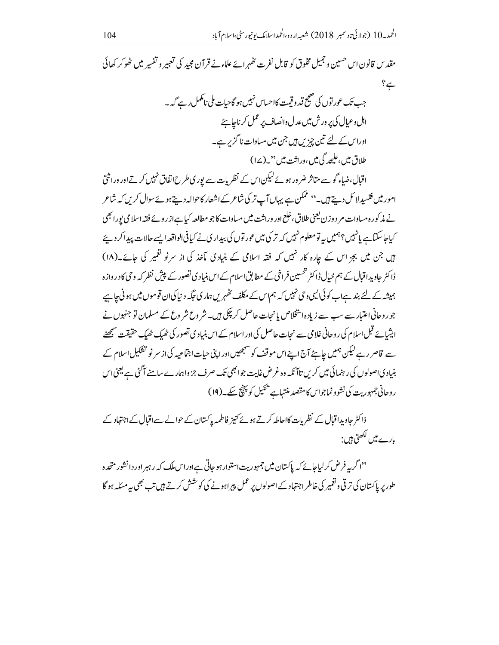مقدس قانون اس حسین و جمیل مخلوق کو قابل نفرت رضم ائے علاءنے قرآن مجید کی تعبیر و تفسیر میں ٹھوکر کھائی  $? \leq$ 

اقبال،ضاء گو سے متاثر ضر ور ہوئے کیکن اس کے نظریات سے پوری طرح اتفاق نہیں کرتےاور وراثتیٰ امور میں فقہ پدلائل دیتے ہیں۔'' ممکن ہے یہاں آپ تر کی شاعر کے اشعار کاحوالہ دیتے ہوئے سوال کریں کہ شاعر نے مذکورہ مساوات مر دوزن یعنی طلاق،خلع اور وراثت میں مساوات کاجو مطالعہ کیاہےاز روئے فقہ اسلامی پورا بھی کیاجاسکتاہے پانہیں؟ہمیں بہ تومعلوم نہیں کہ تر کی میں عور توں کی بیداری نے کیافی الواقعہ ایسے حالات پیدا کر دیئے ہیں جن میں بجز اس کے جارہ کار نہیں کہ فقہ اسلامی کے بنیادی مآخذ کی از سرنو کغمیر کی جائے۔(۱۸) ڈاکٹر جاویداقبال کے ہم خیال ڈاکٹر تحسین فراخی کے مطابق اسلام کے اس بنیادی تصور کے پیش نظر کہ و حی کادر وازہ ہمیشہ کے لئے بند ہےاب کوئی ایسی وحی نہیں کہ ہم اس کے مکلف نظہر یں ہماری جگہ دینا کی ان قوموں میں ہونی جاہیے جو روحانی اعتبار سے سب سے زیاد ہ استخلاص یانجات حاصل کر چکی ہیں۔ شر وع شر وع کے مسلمان تو جنہوں نے ایشائے قبل اسلام کی روحانی غلامی سے نحات حاصل کی اور اسلام کے اس بنیاد ی تصور کی ٹھیک ٹھیک حقیقت سمجھنے سے قاصر رہے لیکن ہمیں جاہئے آج اپنے اس موقف کو سمجھیں اور اپنی حیات اجتماعیہ کی از سر نو تشکیل اسلام کے بنیاد یااصولوں کی رہنمائی میں کریں تاآ نکہ وہ غرض غایت جوابھی تک صرف جزواہمارے سامنے آگئی ہے کیجنی اس روحانی جمہوریت کی نشوو نماجواس کامتصد منتہاہے پیمیل کو پہنچ سکے۔(۱۹)

ڈاکٹر حاویداقبال کے نظر پات کااحاطہ کرتے ہوئے کنیز فاطمہ پاکستان کے حوالے سے اقبال کے اجتہاد کے بارے میں لکھتی ہیں :

<sup>دد</sup>ا گریه فرض کرلیاجائے کہ پاکستان میں جمہوریت استوار ہو جاتی ہےاوراس ملک کیہ رہبر اور دانشور متحدہ طور پر پاکستان کی تر قی وقعمیر کی خاطر اجتہاد کے اصولوں پر عمل پیر اہونے کی کوشش کرتے ہیں تب بھی یہ مسئلہ ہو گا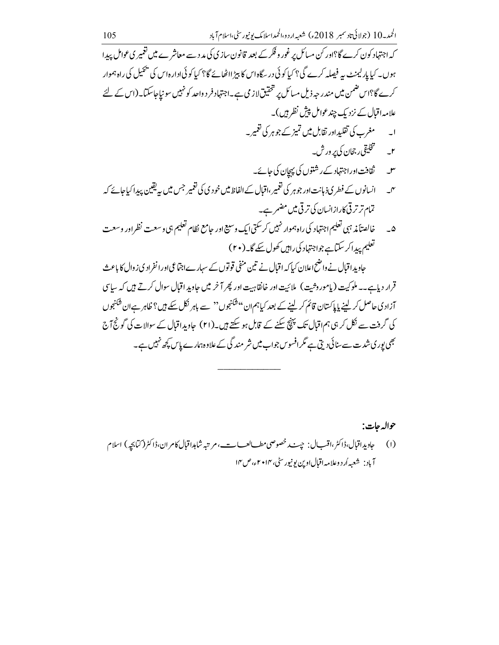کہ اجتہاد کون کرے گا؟اور کن مسائل پر غور وفکر کے بعد قانون سازی کی مدد سے معاشر ے میں تعمیر ی عوامل پیدا ہوں۔ کیا پارلیمنٹ یہ فیصلہ کرے گی؟ کیا کوئی در سگاہ اس کا بیڑ ااٹھائے گا؟ کیا کوئی ادارہ اس کی پجیل کی راہ ہموار کرے گا؟اس ضمن میں مندر جہ ذیل مسائل پر تحقیق لاز می ہے۔اجتہاد فر د واحد کو نہیں سو نیاجاسکتا۔ (اس کے لئے علامہ اقبال کے نزدیک چندعوامل پیش نظر ہیں )۔ ا۔ مغرب کی تقلیداور تقابل میں تمیز کے جوہر کی تعمیر ۔ ۲\_ لصححلیقی رجحان کی پر ورش۔ سل \_ ثقافت اوراجتہاد کے رشتوں کی پہچان کی جائے۔ س ہے۔ انسانوں کے فطر ی ذبانت اور جوہر کی تعمیر ،اقبال کے الفاظ میں خو دی کی تعمیر جس میں یہ یقین پیدا کیاجائے کہ تمام ترتر قى كارازانسان كى ترقى ميں مضمر ہے۔ خالصتأ مذ ہبی تعلیم اجتہاد کی راہ ہموار نہیں کرسکتی ایک وسیع اور حامع نظام تعلیم ہی وسعت نظر اور وسعت  $\overline{\omega}$ تعلیم پیداکر سکتاہے جواجتہاد کی راہیں کھول سکے گا۔(۲۰) جاوید اقبال نے واضح اعلان کیا کہ اقبال نے تین منفی قوتوں کے سہارےاجتماعی اور انفراد کی ز وال کا باعث قرار دیاہے۔۔ ملوکیت (پامور دِثیت) ملائیت اور خانقاہیت اور پھر آخر میں حاوید اقبال سوال کرتے ہیں کہ ساسی آزادی حاصل کر لینے پاپاکستان قائم کر لینے کے بعد کیاہمان''شکنجوں'' سے باہر نکل سکے ہیں؟ ظاہر ہےان شکنجوں کی گرفت سے نکل کر ہی ہم اقبال تک پنپنج سکنے کے قابل ہو سکتے ہیں۔(۲۱) حادیدِ اقبال کے سوالات کی گونج آج

حواله جات: آباد : شعبه أر د وعلامه اقبال اوين بونيورسٹي،١٣٠ م اء،ص١٣

بھی پوری شدت سے سنائی دیتی ہے مگرافسوس جواب میں شر مند گی کے علاوہ ہمارے پاس کچھ نہیں ہے۔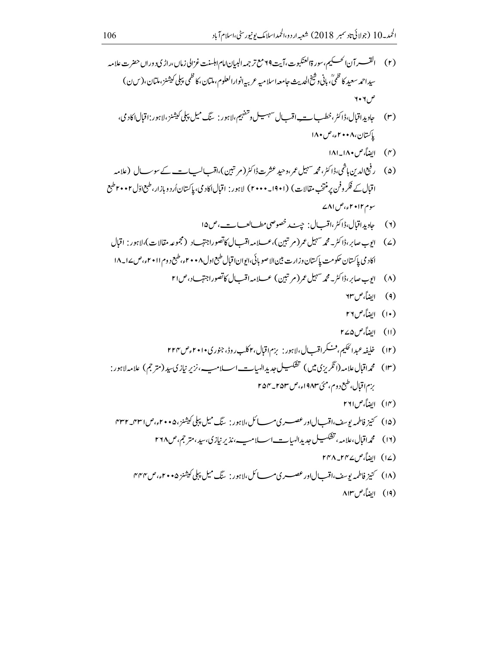- (۲) القسسر آن الحسكيم، سورة العنكبوت، آيت ٢٩مع تر جمه البيان امام ابلسنت غزالي زمال،راڑي دورال حضرت علامه سيداحمد سعيد كا ظميٍّ، باني وشيخ الحديث حامعه اسلاميه عربيه انوارالعلوم،ملتان،كا ظمي يبلي كيشنز،ملتان،( سن) ص ۲۰۲
	- (۳) حاویداقبال،ڈاکٹر،خطب ا\_\_\_ اقب ل سہیسل وتنفہیم،لاہور : سنگ میل پبلی کیشنز،لاہور :اقبال اکاد می، باكستان، ٢٠٠٨، ص ١٨٠
		- (۴) الضاً، ص ۱۸۰\_۱۸۱
- (۵) رفیع الدین ہاشمی،ڈاکٹر،محمہ سہیل عمر،وحید عثرتڈاکٹر(مرتبین)،اقب الب ات کے سوے ک (علامہ اقبال کے فکر و فن پر منتخب مقالات) (۱۹۰۱\_ ۲۰۰۰) لاہور : اقبالاکاد می، پاکستاناُر دو بازار،طبع اوّل ۲۰۰۲طبع سوم ۲۰۱۲ء،ص ۸۱ے
	- (٢) جاويداقبال، ڈاکٹر،اقبال: چت پر خصوصی مطسالعبات، ص١۵ ا
- (۷) ايوب صابر،ڈاکٹر بەمجمەسہبل عمر (مرتتین)،عسلامہ اقب ل6تصوراجتہاد (مجموعہ مقالات)،لاہور: اقبال اكاد مي پاكستان حكومت پاكستان وزارت بين الاصو بائي،ايوان اقبال طبع اول ۲۰۰۸، طبع د وم ۲۰۱۱، ص۱۸\_۱۸
	- (۸) ایوب صابر،ڈاکٹر۔مجمہ سہیل عمر (مرتبین) عسلامہ اقب ل) کاتصوراجتہاد،ص۲۱
		- (۹) ايضاً، ص ۲۳
		- (١٠) ايضاً، ص٢٦
		- (۱۱) ایضاً، ص۵۷۵
- (۱۳) محمداقبال علامہ(انگریزی میں) تشکسیل جدیدالہیات اسلامپ، نزیر نیازی سید(مترجم) علامہ لاہور: بزم|قبال،طبع د وم،مئی ۱۹۸۳ء،ص۵۳\_۲۵۴ م
	- (١٣) ابضاً، ص٢٦١
- (۱۵) \_ كنيز فاطمه بوسف،اقب لادرعصب دي مب كل،لاہور : بيگ ميل پپلي كيشنز،۴۰۰۵، مي ۳۳۱\_۴۳۲\_ م
	- - (۱۷) ایضاً، ص۲۴۷\_۲۴۸
	- - (١٩) ابضاً، ص ٨١٣